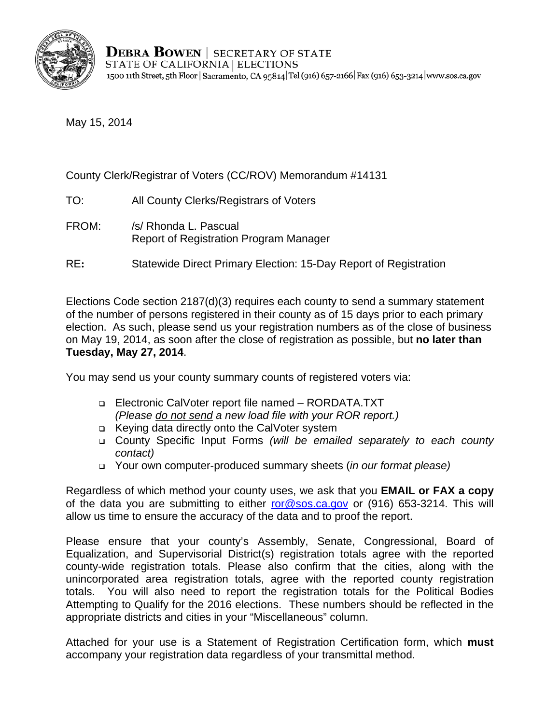

May 15, 2014

### County Clerk/Registrar of Voters (CC/ROV) Memorandum #14131

- TO: All County Clerks/Registrars of Voters
- FROM: /s/ Rhonda L. Pascual Report of Registration Program Manager
- RE**:** Statewide Direct Primary Election: 15-Day Report of Registration

Elections Code section 2187(d)(3) requires each county to send a summary statement of the number of persons registered in their county as of 15 days prior to each primary election. As such, please send us your registration numbers as of the close of business on May 19, 2014, as soon after the close of registration as possible, but **no later than Tuesday, May 27, 2014**.

You may send us your county summary counts of registered voters via:

- Electronic CalVoter report file named RORDATA.TXT *(Please do not send a new load file with your ROR report.)*
- □ Keying data directly onto the CalVoter system
- County Specific Input Forms *(will be emailed separately to each county contact)*
- Your own computer-produced summary sheets (*in our format please)*

Regardless of which method your county uses, we ask that you **EMAIL or FAX a copy**  of the data you are submitting to either ror@sos.ca.gov or (916) 653-3214. This will allow us time to ensure the accuracy of the data and to proof the report.

Please ensure that your county's Assembly, Senate, Congressional, Board of Equalization, and Supervisorial District(s) registration totals agree with the reported county-wide registration totals. Please also confirm that the cities, along with the unincorporated area registration totals, agree with the reported county registration totals. You will also need to report the registration totals for the Political Bodies Attempting to Qualify for the 2016 elections. These numbers should be reflected in the appropriate districts and cities in your "Miscellaneous" column.

Attached for your use is a Statement of Registration Certification form, which **must**  accompany your registration data regardless of your transmittal method.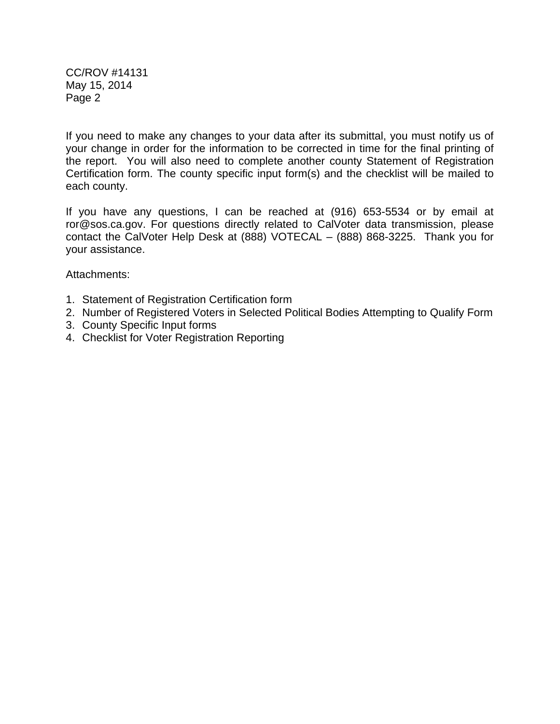CC/ROV #14131 May 15, 2014 Page 2

If you need to make any changes to your data after its submittal, you must notify us of your change in order for the information to be corrected in time for the final printing of the report. You will also need to complete another county Statement of Registration Certification form. The county specific input form(s) and the checklist will be mailed to each county.

If you have any questions, I can be reached at (916) 653-5534 or by email at ror@sos.ca.gov. For questions directly related to CalVoter data transmission, please contact the CalVoter Help Desk at (888) VOTECAL – (888) 868-3225. Thank you for your assistance.

Attachments:

- 1. Statement of Registration Certification form
- 2. Number of Registered Voters in Selected Political Bodies Attempting to Qualify Form
- 3. County Specific Input forms
- 4. Checklist for Voter Registration Reporting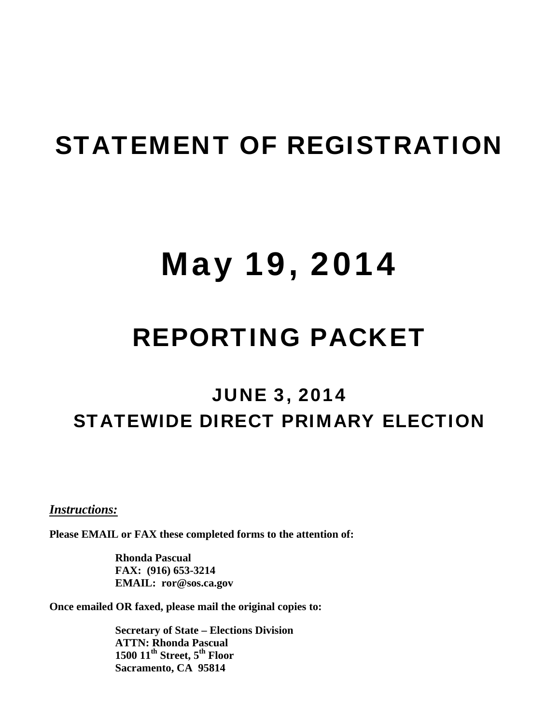# STATEMENT OF REGISTRATION

# May 19, 2014

# REPORTING PACKET

## JUNE 3, 2014 STATEWIDE DIRECT PRIMARY ELECTION

<sup>U</sup>*Instructions:*

**Please EMAIL or FAX these completed forms to the attention of:** 

**Rhonda Pascual FAX: (916) 653-3214 EMAIL: ror@sos.ca.gov** 

**Once emailed OR faxed, please mail the original copies to:** 

**Secretary of State – Elections Division ATTN: Rhonda Pascual**   $1500$   $11^{\text{th}}$  Street,  $5^{\text{th}}$  Floor **Sacramento, CA 95814**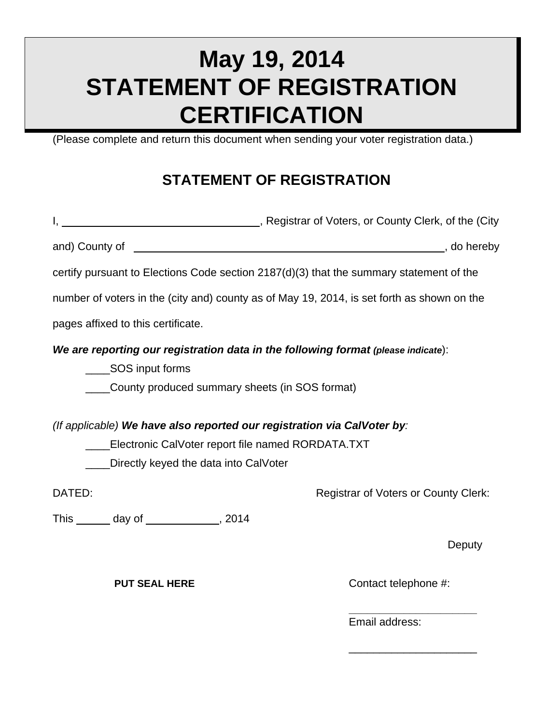# **May 19, 2014 STATEMENT OF REGISTRATION CERTIFICATION**

(Please complete and return this document when sending your voter registration data.)

### **STATEMENT OF REGISTRATION**

|                                                                                                                                                            | I, 1. All 2015, Registrar of Voters, or County Clerk, of the (City |
|------------------------------------------------------------------------------------------------------------------------------------------------------------|--------------------------------------------------------------------|
|                                                                                                                                                            |                                                                    |
| certify pursuant to Elections Code section $2187(d)(3)$ that the summary statement of the                                                                  |                                                                    |
| number of voters in the (city and) county as of May 19, 2014, is set forth as shown on the                                                                 |                                                                    |
| pages affixed to this certificate.                                                                                                                         |                                                                    |
| We are reporting our registration data in the following format (please indicate):<br>____SOS input forms<br>County produced summary sheets (in SOS format) |                                                                    |
| (If applicable) We have also reported our registration via CalVoter by:                                                                                    |                                                                    |
| ____Electronic CalVoter report file named RORDATA.TXT                                                                                                      |                                                                    |
| Directly keyed the data into CalVoter                                                                                                                      |                                                                    |
| DATED:                                                                                                                                                     | <b>Registrar of Voters or County Clerk:</b>                        |
| This _______ day of _____________, 2014                                                                                                                    |                                                                    |
|                                                                                                                                                            | Deputy                                                             |

 **\_\_\_\_\_\_\_\_\_\_\_\_\_\_\_\_\_\_\_\_\_**

 $\frac{1}{2}$  , and the contract of the contract of the contract of the contract of the contract of the contract of the contract of the contract of the contract of the contract of the contract of the contract of the contract

**PUT SEAL HERE** Contact telephone #:

**Email address:**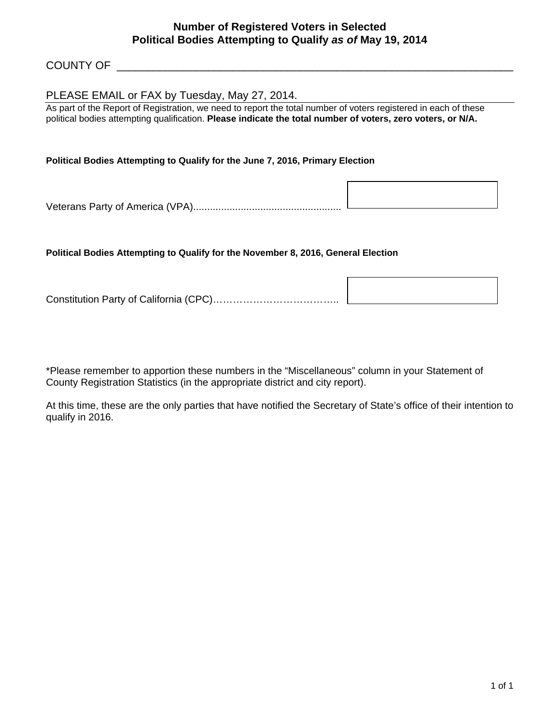#### **Number of Registered Voters in Selected Political Bodies Attempting to Qualify** *as of* **May 19, 2014**

#### COUNTY OF **EXECUTE A**

#### PLEASE EMAIL or FAX by Tuesday, May 27, 2014.

As part of the Report of Registration, we need to report the total number of voters registered in each of these political bodies attempting qualification. **Please indicate the total number of voters, zero voters, or N/A.** 

#### **Political Bodies Attempting to Qualify for the June 7, 2016, Primary Election**

Veterans Party of America (VPA).....................................................

#### **Political Bodies Attempting to Qualify for the November 8, 2016, General Election**

Constitution Party of California (CPC)………………………………..

\*Please remember to apportion these numbers in the "Miscellaneous" column in your Statement of County Registration Statistics (in the appropriate district and city report).

At this time, these are the only parties that have notified the Secretary of State's office of their intention to qualify in 2016.